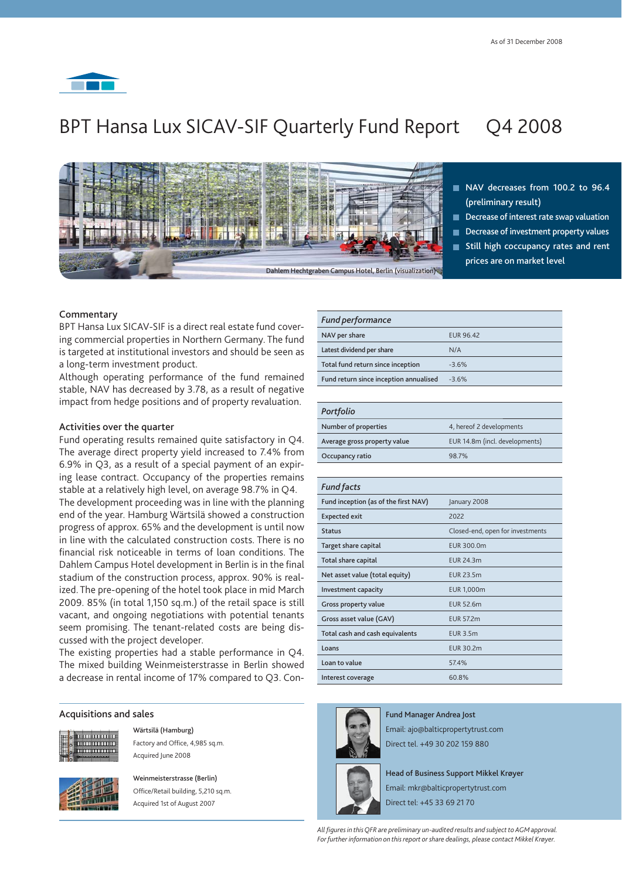

# BPT Hansa Lux SICAV-SIF Quarterly Fund Report Q4 2008



- **NAV decreases from 100.2 to 96.4 (preliminary result)**
- **Decrease of interest rate swap valuation**
- **Decrease of investment property values Still high coccupancy rates and rent prices are on market level**

# **Commentary**

BPT Hansa Lux SICAV-SIF is a direct real estate fund covering commercial properties in Northern Germany. The fund is targeted at institutional investors and should be seen as a long-term investment product.

Although operating performance of the fund remained stable, NAV has decreased by 3.78, as a result of negative impact from hedge positions and of property revaluation.

### **Activities over the quarter**

Fund operating results remained quite satisfactory in Q4. The average direct property yield increased to 7.4% from 6.9% in Q3, as a result of a special payment of an expiring lease contract. Occupancy of the properties remains stable at a relatively high level, on average 98.7% in Q4.

The development proceeding was in line with the planning end of the year. Hamburg Wärtsilä showed a construction progress of approx. 65% and the development is until now in line with the calculated construction costs. There is no financial risk noticeable in terms of loan conditions. The Dahlem Campus Hotel development in Berlin is in the final stadium of the construction process, approx. 90% is realized. The pre-opening of the hotel took place in mid March 2009. 85% (in total 1,150 sq.m.) of the retail space is still vacant, and ongoing negotiations with potential tenants seem promising. The tenant-related costs are being discussed with the project developer.

The existing properties had a stable performance in Q4. The mixed building Weinmeisterstrasse in Berlin showed a decrease in rental income of 17% compared to Q3. Con-

#### **Acquisitions and sales**



 **Wärtsilä (Hamburg)** Factory and Office, 4,985 sq.m. Acquired June 2008



 **Weinmeisterstrasse (Berlin)** Office/Retail building, 5,210 sq.m. Acquired 1st of August 2007

| <b>Fund performance</b>                |                  |
|----------------------------------------|------------------|
| NAV per share                          | <b>EUR 96.42</b> |
| Latest dividend per share              | N/A              |
| Total fund return since inception      | $-3.6%$          |
| Fund return since inception annualised | $-3.6%$          |

#### *Portfolio*

| Number of properties         | 4, hereof 2 developments       |
|------------------------------|--------------------------------|
| Average gross property value | EUR 14.8m (incl. developments) |
| Occupancy ratio              | 98.7%                          |

| <b>Fund facts</b>                    |                                  |
|--------------------------------------|----------------------------------|
| Fund inception (as of the first NAV) | January 2008                     |
| <b>Expected exit</b>                 | 2022                             |
| <b>Status</b>                        | Closed-end, open for investments |
| Target share capital                 | EUR 300.0m                       |
| Total share capital                  | <b>EUR 24.3m</b>                 |
| Net asset value (total equity)       | <b>EUR 23.5m</b>                 |
| Investment capacity                  | <b>EUR 1,000m</b>                |
| Gross property value                 | <b>EUR 52.6m</b>                 |
| Gross asset value (GAV)              | <b>EUR 57.2m</b>                 |
| Total cash and cash equivalents      | <b>EUR 3.5m</b>                  |
| Loans                                | <b>EUR 30.2m</b>                 |
| Loan to value                        | 574%                             |
| Interest coverage                    | 60.8%                            |



**Fund Manager Andrea Jost** Email: ajo@balticpropertytrust.com Direct tel. +49 30 202 159 880

**Head of Business Support Mikkel Krøyer** Email: mkr@balticpropertytrust.com

Direct tel: +45 33 69 21 70

*All fi gures in this QFR are preliminary un-audited results and subject to AGM approval. For further information on this report or share dealings, please contact Mikkel Krøyer.*